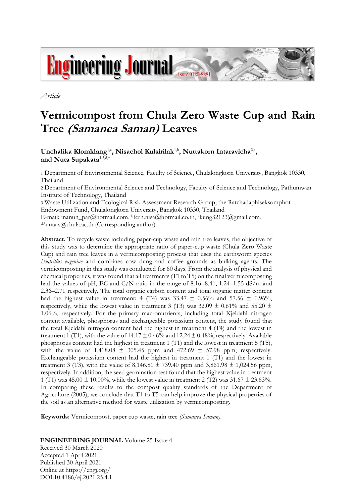

*Article*

# **Vermicompost from Chula Zero Waste Cup and Rain Tree (Samanea Saman) Leaves**

Unchalika Klomklang<sup>1,a</sup>, Nisachol Kulsirilak<sup>1,b</sup>, Nuttakorn Intaravicha<sup>2,c</sup>, **and Nuta Supakata**1,3,d,\*

1 Department of Environmental Science, Faculty of Science, Chulalongkorn University, Bangkok 10330, Thailand

2 Department of Environmental Science and Technology, Faculty of Science and Technology, Pathumwan Institute of Technology, Thailand

3 Waste Utilization and Ecological Risk Assessment Research Group, the Ratchadaphiseksomphot Endowment Fund, Chulalongkorn University, Bangkok 10330, Thailand

E-mail: <sup>a</sup>nanun\_par@hotmail.com, <sup>b</sup>fern.nisa@hotmail.co.th, ckung32123@gmail.com, d,\*nuta.s@chula.ac.th (Corresponding author)

**Abstract.** To recycle waste including paper-cup waste and rain tree leaves, the objective of this study was to determine the appropriate ratio of paper-cup waste (Chula Zero Waste Cup) and rain tree leaves in a vermicomposting process that uses the earthworm species *Eudrillus eageniae* and combines cow dung and coffee grounds as bulking agents. The vermicomposting in this study was conducted for 60 days. From the analysis of physical and chemical properties, it was found that all treatments (T1 to T5) on the final vermicomposting had the values of pH, EC and C/N ratio in the range of 8.16–8.41, 1.24–1.55 dS/m and 2.36–2.71 respectively. The total organic carbon content and total organic matter content had the highest value in treatment: 4 (T4) was 33.47  $\pm$  0.56% and 57.56  $\pm$  0.96%, respectively, while the lowest value in treatment 3 (T3) was 32.09  $\pm$  0.61% and 55.20  $\pm$ 1.06%, respectively. For the primary macronutrients, including total Kjeldahl nitrogen content available, phosphorus and exchangeable potassium content, the study found that the total Kjeldahl nitrogen content had the highest in treatment 4 (T4) and the lowest in treatment 1 (T1), with the value of  $14.17 \pm 0.46\%$  and  $12.24 \pm 0.48\%$ , respectively. Available phosphorus content had the highest in treatment 1 (T1) and the lowest in treatment 5 (T5), with the value of  $1,418.08 \pm 305.45$  ppm and  $472.69 \pm 57.98$  ppm, respectively. Exchangeable potassium content had the highest in treatment 1 (T1) and the lowest in treatment 3 (T3), with the value of 8,146.81  $\pm$  739.40 ppm and 3,861.98  $\pm$  1,024.56 ppm, respectively. In addition, the seed germination test found that the highest value in treatment 1 (T1) was 45.00  $\pm$  10.00%, while the lowest value in treatment 2 (T2) was 31.67  $\pm$  23.63%. In comparing these results to the compost quality standards of the Department of Agriculture (2005), we conclude that T1 to T5 can help improve the physical properties of the soil as an alternative method for waste utilization by vermicomposting.

**Keywords:** Vermicompost, paper cup waste, rain tree *(Samanea Saman)*.

**ENGINEERING JOURNAL** Volume 25 Issue 4

Received 30 March 2020 Accepted 1 April 2021 Published 30 April 2021 Online at https://engj.org/ DOI:10.4186/ej.2021.25.4.1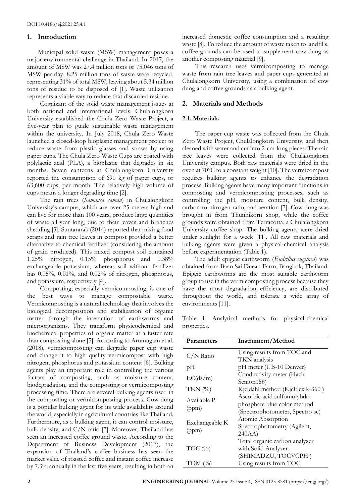## **1. Introduction**

Municipal solid waste (MSW) management poses a major environmental challenge in Thailand. In 2017, the amount of MSW was 27.4 million tons or 75,046 tons of MSW per day, 8.25 million tons of waste were recycled, representing 31% of total MSW, leaving about 5.34 million tons of residue to be disposed of [1]. Waste utilization represents a viable way to reduce that discarded residue.

Cognizant of the solid waste management issues at both national and international levels, Chulalongkorn University established the Chula Zero Waste Project, a five-year plan to guide sustainable waste management within the university. In July 2018, Chula Zero Waste launched a closed-loop bioplastic management project to reduce waste from plastic glasses and straws by using paper cups. The Chula Zero Waste Cups are coated with polylactic acid (PLA), a bioplastic that degrades in six months. Seven canteens at Chulalongkorn University reported the consumption of 690 kg of paper cups, or 63,600 cups, per month. The relatively high volume of cups means a longer degrading time [2].

The rain trees (*Samanea saman*) in Chulalongkorn University's campus, which are over 25 meters high and can live for more than 100 years, produce large quantities of waste all year long, due to their leaves and branches shedding [3]. Suntararak (2014) reported that mixing food scraps and rain tree leaves in compost provided a better alternative to chemical fertilizer (considering the amount of grain produced). This mixed compost soil contained 1.25% nitrogen, 0.15% phosphorus and 0.38% exchangeable potassium, whereas soil without fertilizer has 0.05%, 0.01%, and 0.02% of nitrogen, phosphorus, and potassium, respectively [4].

Composting, especially vermicomposting, is one of the best ways to manage compostable waste. Vermicomposting is a natural technology that involves the biological decomposition and stabilization of organic matter through the interaction of earthworms and microorganisms. They transform physicochemical and biochemical properties of organic matter at a faster rate than composting alone [5]. According to Arumugam et al. (2018), vermicomposting can degrade paper cup waste and change it to high quality vermicompost with high nitrogen, phosphorus and potassium content [6]. Bulking agents play an important role in controlling the various factors of composting, such as moisture content, biodegradation, and the composting or vermicomposting processing time. There are several bulking agents used in the composting or vermicomposting process. Cow dung is a popular bulking agent for its wide availability around the world, especially in agricultural countries like Thailand. Furthermore, as a bulking agent, it can control moisture, bulk density, and C/N ratio [7]. Moreover, Thailand has seen an increased coffee ground waste. According to the Department of Business Development (2017), the expansion of Thailand's coffee business has seen the market value of roasted coffee and instant coffee increase by 7.3% annually in the last five years, resulting in both an

increased domestic coffee consumption and a resulting waste [8]. To reduce the amount of waste taken to landfills, coffee grounds can be used to supplement cow dung as another composting material [9].

This research uses vermicomposting to manage waste from rain tree leaves and paper cups generated at Chulalongkorn University, using a combination of cow dung and coffee grounds as a bulking agent.

# **2. Materials and Methods**

## **2.1. Materials**

The paper cup waste was collected from the Chula Zero Waste Project, Chulalongkorn University, and then cleaned with water and cut into 2-cm-long pieces. The rain tree leaves were collected from the Chulalongkorn University campus. Both raw materials were dried in the oven at 70°C to a constant weight [10]. The vermicompost requires bulking agents to enhance the degradation process. Bulking agents have many important functions in composting and vermicomposting processes, such as controlling the pH, moisture content, bulk density, carbon-to-nitrogen ratio, and aeration [7]. Cow dung was brought in from Thunhikorn shop, while the coffee grounds were obtained from Terracotta, a Chulalongkorn University coffee shop. The bulking agents were dried under sunlight for a week [11]. All raw materials and bulking agents were given a physical-chemical analysis before experimentation (Table 1).

The adult epigeic earthworm (*Eudrillus eugeinea*) was obtained from Baan Sai Duean Farm, Bangkok, Thailand. Epigeic earthworms are the most suitable earthworm group to use in the vermicomposting process because they have the most degradation efficiency, are distributed throughout the world, and tolerate a wide array of environments [11].

Table 1.Analytical methods for physical-chemical properties.

| Parameters              | Instrument/Method                |
|-------------------------|----------------------------------|
| $C/N$ Ratio             | Using results from TOC and       |
|                         | TKN analysis                     |
| рH                      | pH meter (UB-10 Denver)          |
| EC(ds/m)                | Conductivity meter (Hach         |
|                         | Senion156)                       |
| TKN $(\%)$              | Kjeldahl method (Kjelflex k-360) |
| Available P<br>(ppm)    | Ascorbic acid sulfomolybdo-      |
|                         | phosphate blue color method      |
|                         | (Spectrophotometer, Spectro sc)  |
| Exchangeable K<br>(ppm) | Atomic Absorption                |
|                         | Spectrophotometry (Agilent,      |
|                         | 240AA)                           |
| TOC $(\%)$              | Total organic carbon analyzer    |
|                         | with Solid Analyzer              |
|                         | (SHIMADZU, TOCVCPH)              |
| TOM $(\%)$              | Using results from TOC           |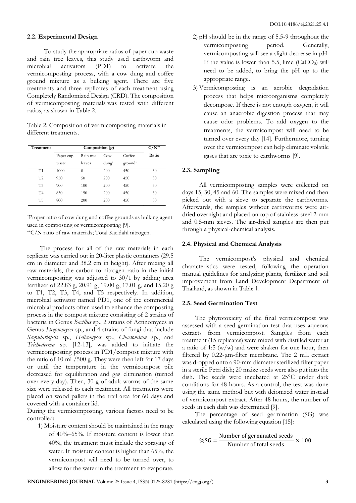#### **2.2. Experimental Design**

To study the appropriate ratios of paper cup waste and rain tree leaves, this study used earthworm and<br>microbial activators (PD1) to activate the microbial activators (PD1) to activate the vermicomposting process, with a cow dung and coffee ground mixture as a bulking agent. There are five treatments and three replicates of each treatment using Completely Randomized Design (CRD). The composition of vermicomposting materials was tested with different ratios, as shown in Table 2.

Table 2. Composition of vermicomposting materials in different treatments.

| Treatment      | Composition (g) |           |             |                     | $C/N^{**}$ |
|----------------|-----------------|-----------|-------------|---------------------|------------|
|                | Paper cup       | Rain tree | Cow         | Coffee              | Ratio      |
|                | waste           | leaves    | $d$ ung $*$ | ground <sup>*</sup> |            |
| T1             | 1000            | $\Omega$  | 200         | 450                 | 30         |
| T2             | 950             | 50        | 200         | 450                 | 30         |
| T <sub>3</sub> | 900             | 100       | 200         | 450                 | 30         |
| <b>T4</b>      | 850             | 150       | 200         | 450                 | 30         |
| T <sub>5</sub> | 800             | 200       | 200         | 450                 | 30         |

\*Proper ratio of cow dung and coffee grounds as bulking agent used in composting or vermicomposting [9].

\*\*C/N ratio of raw materials; Total Kjeldahl nitrogen.

The process for all of the raw materials in each replicate was carried out in 20-liter plastic containers (29.5 cm in diameter and 38.2 cm in height). After mixing all raw materials, the carbon-to-nitrogen ratio in the initial vermicomposting was adjusted to 30/1 by adding urea fertilizer of 22.83 g, 20.91 g, 19.00 g, 17.01 g, and 15.20 g to T1, T2, T3, T4, and T5 respectively. In addition, microbial activator named PD1, one of the commercial microbial products often used to enhance the composting process in the compost mixture consisting of 2 strains of bacteria in Genus *Bacillus* sp., 2 strains of Actinomyces in Genus *Streptomyces* sp., and 4 strains of fungi that include *Scopulariopsis* sp., *Helicomyces* sp., *Chaetomium* sp., and *Trichoderma* sp. [12-13], was added to initiate the vermicomposting process in PD1/compost mixture with the ratio of 10 ml /500 g. They were then left for 17 days or until the temperature in the vermicompost pile decreased for equilibration and gas elimination (turned over every day). Then, 30 g of adult worms of the same size were released to each treatment. All treatments were placed on wood pallets in the trail area for 60 days and covered with a container lid.

During the vermicomposting, various factors need to be controlled:

1) Moisture content should be maintained in the range of 40%–65%. If moisture content is lower than 40%, the treatment must include the spraying of water. If moisture content is higher than 65%, the vermicompost will need to be turned over, to allow for the water in the treatment to evaporate.

- 2) pH should be in the range of 5.5-9 throughout the vermicomposting period. Generally, vermicomposting will see a slight decrease in pH. If the value is lower than 5.5, lime  $(CaCO<sub>3</sub>)$  will need to be added, to bring the pH up to the appropriate range.
- 3) Vermicomposting is an aerobic degradation process that helps microorganisms completely decompose. If there is not enough oxygen, it will cause an anaerobic digestion process that may cause odor problems. To add oxygen to the treatments, the vermicompost will need to be turned over every day [14]. Furthermore, turning over the vermicompost can help eliminate volatile gases that are toxic to earthworms [9].

## **2.3. Sampling**

All vermicomposting samples were collected on days 15, 30, 45 and 60. The samples were mixed and then picked out with a sieve to separate the earthworms. Afterwards, the samples without earthworms were airdried overnight and placed on top of stainless-steel 2-mm and 0.5-mm sieves. The air-dried samples are then put through a physical-chemical analysis.

#### **2.4. Physical and Chemical Analysis**

The vermicompost's physical and chemical characteristics were tested, following the operation manual guidelines for analyzing plants, fertilizer and soil improvement from Land Development Department of Thailand, as shown in Table 1.

## **2.5. Seed Germination Test**

The phytotoxicity of the final vermicompost was assessed with a seed germination test that uses aqueous extracts from vermicompost. Samples from each treatment (15 replicates) were mixed with distilled water at a ratio of 1:5  $(w/w)$  and were shaken for one hour, then filtered by 0.22-μm-filter membrane. The 2 mL extract was dropped onto a 90-mm diameter sterilized filter paper in a sterile Petri dish; 20 maize seeds were also put into the dish. The seeds were incubated at 25°C under dark conditions for 48 hours. As a control, the test was done using the same method but with deionized water instead of vermicompost extract. After 48 hours, the number of seeds in each dish was determined [9].

The percentage of seed germination (SG) was calculated using the following equation [15]:

$$
\%SG = \frac{\text{Number of germinated seeds}}{\text{Number of total seeds}} \times 100
$$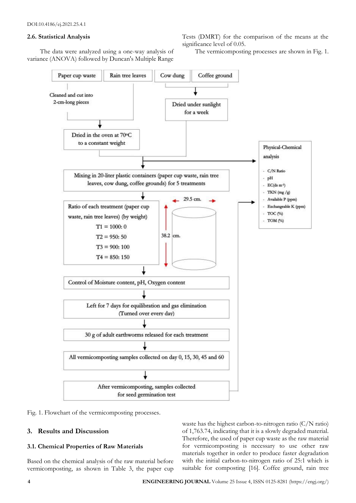## **2.6. Statistical Analysis**

The data were analyzed using a one-way analysis of variance (ANOVA) followed by Duncan's Multiple Range Tests (DMRT) for the comparison of the means at the significance level of 0.05.

The vermicomposting processes are shown in Fig. 1.



Fig. 1. Flowchart of the vermicomposting processes.

# **3. Results and Discussion**

## **3.1. Chemical Properties of Raw Materials**

Based on the chemical analysis of the raw material before vermicomposting, as shown in Table 3, the paper cup waste has the highest carbon-to-nitrogen ratio (C/N ratio) of 1,763.74, indicating that it is a slowly degraded material. Therefore, the used of paper cup waste as the raw material for vermicomposting is necessary to use other raw materials together in order to produce faster degradation with the initial carbon-to-nitrogen ratio of 25:1 which is suitable for composting [16]. Coffee ground, rain tree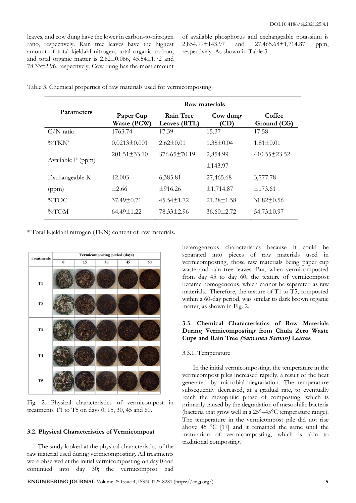leaves, and cow dung have the lower in carbon-to-nitrogen ratio, respectively. Rain tree leaves have the highest amount of total kjeldahl nitrogen, total organic carbon, and total organic matter is 2.62±0.066, 45.54±1.72 and 78.33±2.96, respectively. Cow dung has the most amount

of available phosphorus and exchangeable potassium is 2,854.99±143.97 and 27,465.68±1,714.87 ppm, respectively. As shown in Table 3.

|                   | Raw materials            |                                  |                             |                       |  |
|-------------------|--------------------------|----------------------------------|-----------------------------|-----------------------|--|
| <b>Parameters</b> | Paper Cup<br>Waste (PCW) | <b>Rain Tree</b><br>Leaves (RTL) | Cow dung<br>$\mathbf{(CD)}$ | Coffee<br>Ground (CG) |  |
| $C/N$ ratio       | 1763.74                  | 17.39                            | 15.37                       | 17.58                 |  |
| $\%$ TKN*         | $0.0213 \pm 0.001$       | $2.62 \pm 0.01$                  | $1.38 \pm 0.04$             | $1.81 \pm 0.01$       |  |
| Available P (ppm) | $201.51 \pm 33.10$       | $376.65 \pm 70.19$               | 2,854.99                    | $410.55 \pm 23.52$    |  |
|                   |                          |                                  | ±143.97                     |                       |  |
| Exchangeable K    | 12.003                   | 6,385.81                         | 27,465.68                   | 3,777.78              |  |
| (ppm)             | $\pm 2.66$               | $+916.26$                        | ±1,714.87                   | ±173.61               |  |
| $\%$ TOC          | $37.49 \pm 0.71$         | $45.54 \pm 1.72$                 | $21.28 \pm 1.58$            | $31.82 \pm 0.56$      |  |
| $\%$ TOM          | $64.49 \pm 1.22$         | 78.33±2.96                       | $36.60 \pm 2.72$            | $54.73 \pm 0.97$      |  |

Table 3. Chemical properties of raw materials used for vermicomposting.

\* Total Kjeldahl nitrogen (TKN) content of raw materials.



Fig. 2. Physical characteristics of vermicompost in treatments T1 to T5 on days 0, 15, 30, 45 and 60.

## **3.2. Physical Characteristics of Vermicompost**

The study looked at the physical characteristics of the raw material used during vermicomposting. All treatments were observed at the initial vermicomposting on day 0 and continued into day 30; the vermicompost had heterogeneous characteristics because it could be separated into pieces of raw materials used in vermicomposting, those raw materials being paper cup waste and rain tree leaves. But, when vermicomposted from day 45 to day 60, the texture of vermicompost became homogeneous, which cannot be separated as raw materials. Therefore, the texture of T1 to T5, composted within a 60-day period, was similar to dark brown organic matter, as shown in Fig. 2.

## **3.3. Chemical Characteristics of Raw Materials During Vermicomposting from Chula Zero Waste Cups and Rain Tree (Samanea Saman) Leaves**

#### 3.3.1. Temperature

In the initial vermicomposting, the temperature in the vermicompost piles increased rapidly, a result of the heat generated by microbial degradation. The temperature subsequently decreased, at a gradual rate, to eventually reach the mesophilic phase of composting, which is primarily caused by the degradation of mesophilic bacteria (bacteria that grow well in a 25°–45°C temperature range). The temperature in the vermicompost pile did not rise above 45 °C [17] and it remained the same until the maturation of vermicomposting, which is akin to traditional composting.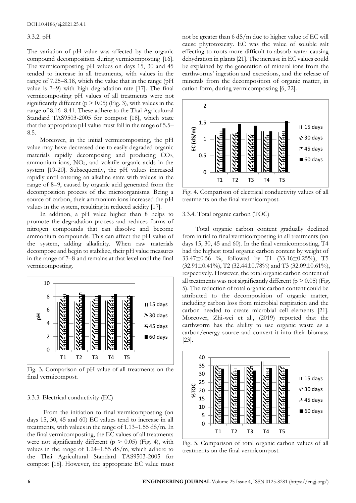## 3.3.2. pH

The variation of pH value was affected by the organic compound decomposition during vermicomposting [16]. The vermicomposting pH values on days 15, 30 and 45 tended to increase in all treatments, with values in the range of 7.25–8.18, which the value that in the range (pH value is 7–9) with high degradation rate [17]. The final vermicomposting pH values of all treatments were not significantly different ( $p > 0.05$ ) (Fig. 3), with values in the range of 8.16–8.41. These adhere to the Thai Agricultural Standard TAS9503-2005 for compost [18], which state that the appropriate pH value must fall in the range of 5.5– 8.5.

Moreover, in the initial vermicomposting, the pH value may have decreased due to easily degraded organic materials rapidly decomposing and producing CO2, ammonium ions,  $NO<sub>3</sub>$ , and volatile organic acids in the system [19-20]. Subsequently, the pH values increased rapidly until entering an alkaline state with values in the range of 8–9, caused by organic acid generated from the decomposition process of the microorganisms. Being a source of carbon, their ammonium ions increased the pH values in the system, resulting in reduced acidity [17].

In addition, a pH value higher than 8 helps to promote the degradation process and reduces forms of nitrogen compounds that can dissolve and become ammonium compounds. This can affect the pH value of the system, adding alkalinity. When raw materials decompose and begin to stabilize, their pH value measures in the range of 7–8 and remains at that level until the final vermicomposting.



Fig. 3. Comparison of pH value of all treatments on the final vermicompost.

#### 3.3.3. Electrical conductivity (EC)

From the initiation to final vermicomposting (on days 15, 30, 45 and 60) EC values tend to increase in all treatments, with values in the range of 1.13–1.55 dS/m. In the final vermicomposting, the EC values of all treatments were not significantly different ( $p > 0.05$ ) (Fig. 4), with values in the range of 1.24–1.55 dS/m, which adhere to the Thai Agricultural Standard TAS9503-2005 for compost [18]. However, the appropriate EC value must not be greater than 6 dS/m due to higher value of EC will cause phytotoxicity. EC was the value of soluble salt effecting to roots more difficult to absorb water causing dehydration in plants [21]. The increase in EC values could be explained by the generation of mineral ions from the earthworms' ingestion and excretions, and the release of minerals from the decomposition of organic matter, in cation form, during vermicomposting [6, 22].



Fig. 4. Comparison of electrical conductivity values of all treatments on the final vermicompost.

#### 3.3.4. Total organic carbon (TOC)

Total organic carbon content gradually declined from initial to final vermicomposting in all treatments (on days 15, 30, 45 and 60). In the final vermicomposting, T4 had the highest total organic carbon content by weight of 33.47±0.56 %, followed by T1 (33.16±0.25%), T5  $(32.91 \pm 0.41\%)$ , T2  $(32.44 \pm 0.78\%)$  and T3  $(32.09 \pm 0.61\%)$ , respectively. However, the total organic carbon content of all treatments was not significantly different ( $p > 0.05$ ) (Fig. 5). The reduction of total organic carbon content could be attributed to the decomposition of organic matter, including carbon loss from microbial respiration and the carbon needed to create microbial cell elements [21]. Moreover, Zhi-wei et al., (2019) reported that the earthworm has the ability to use organic waste as a carbon/energy source and convert it into their biomass [23].



Fig. 5. Comparison of total organic carbon values of all treatments on the final vermicompost.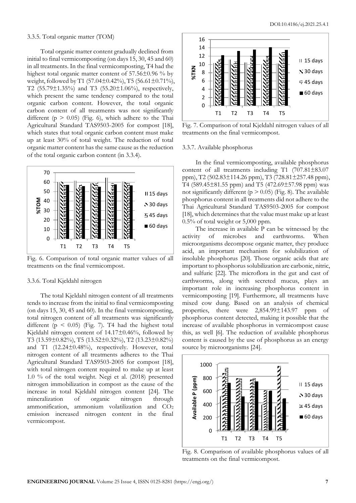#### 3.3.5. Total organic matter (TOM)

Total organic matter content gradually declined from initial to final vermicomposting (on days 15, 30, 45 and 60) in all treatments. In the final vermicomposting, T4 had the highest total organic matter content of 57.56±0.96 % by weight, followed by T1 (57.04±0.42%), T5 (56.61±0.71%), T2 (55.79±1.35%) and T3 (55.20±1.06%), respectively, which present the same tendency compared to the total organic carbon content. However, the total organic carbon content of all treatments was not significantly different ( $p > 0.05$ ) (Fig. 6), which adhere to the Thai Agricultural Standard TAS9503-2005 for compost [18], which states that total organic carbon content must make up at least 30% of total weight. The reduction of total organic matter content has the same cause as the reduction of the total organic carbon content (in 3.3.4).



Fig. 6. Comparison of total organic matter values of all treatments on the final vermicompost.

#### 3.3.6. Total Kjeldahl nitrogen

The total Kjeldahl nitrogen content of all treatments tends to increase from the initial to final vermicomposting (on days 15, 30, 45 and 60). In the final vermicomposting, total nitrogen content of all treatments was significantly different ( $p \leq 0.05$ ) (Fig. 7). T4 had the highest total Kjeldahl nitrogen content of 14.17±0.46%, followed by T3 (13.59±0.82%), T5 (13.52±0.32%), T2 (13.23±0.82%) and T1 (12.24±0.48%), respectively. However, total nitrogen content of all treatments adheres to the Thai Agricultural Standard TAS9503-2005 for compost [18], with total nitrogen content required to make up at least 1.0 % of the total weight. Negi et al. (2018) presented nitrogen immobilization in compost as the cause of the increase in total Kjeldahl nitrogen content [24]. The mineralization of organic nitrogen through ammonification, ammonium volatilization and  $CO<sub>2</sub>$ emission increased nitrogen content in the final vermicompost.



Fig. 7. Comparison of total Kjeldahl nitrogen values of all treatments on the final vermicompost.

## 3.3.7. Available phosphorus

In the final vermicomposting, available phosphorus content of all treatments including T1 (707.81±83.07 ppm), T2 (502.83±114.26 ppm), T3 (728.81±257.48 ppm), T4 (589.45±81.55 ppm) and T5 (472.69±57.98 ppm) was not significantly different ( $p > 0.05$ ) (Fig. 8). The available phosphorus content in all treatments did not adhere to the Thai Agricultural Standard TAS9503-2005 for compost [18], which determines that the value must make up at least 0.5% of total weight or 5,000 ppm.

The increase in available P can be witnessed by the activity of microbes and earthworms. When microorganisms decompose organic matter, they produce acid, an important mechanism for solubilization of insoluble phosphorus [20]. Those organic acids that are important to phosphorus solubilization are carbonic, nitric, and sulfuric [22]. The microflora in the gut and cast of earthworms, along with secreted mucus, plays an important role in increasing phosphorus content in vermicomposting [19]. Furthermore, all treatments have mixed cow dung. Based on an analysis of chemical properties, there were 2,854.99±143.97 ppm of phosphorus content detected, making it possible that the increase of available phosphorus in vermicompost cause this, as well [6]. The reduction of available phosphorus content is caused by the use of phosphorus as an energy source by microorganisms [24].



Fig. 8. Comparison of available phosphorus values of all treatments on the final vermicompost.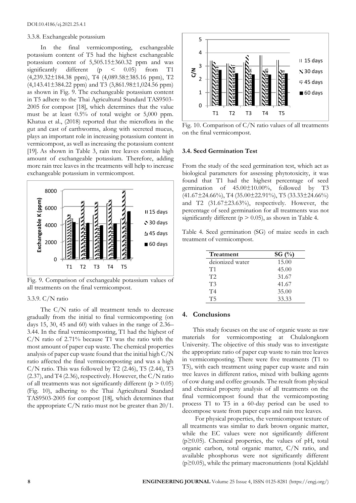#### 3.3.8. Exchangeable potassium

In the final vermicomposting, exchangeable potassium content of T5 had the highest exchangeable potassium content of 5,505.15±360.32 ppm and was significantly different  $(p \le 0.05)$  from T1 (4,239.32±184.38 ppm), T4 (4,089.58±385.16 ppm), T2  $(4,143.41\pm384.22$  ppm) and T3  $(3,861.98\pm1,024.56$  ppm) as shown in Fig. 9. The exchangeable potassium content in T5 adhere to the Thai Agricultural Standard TAS9503- 2005 for compost [18], which determines that the value must be at least 0.5% of total weight or 5,000 ppm. Khatua et al., (2018) reported that the microflora in the gut and cast of earthworms, along with secreted mucus, plays an important role in increasing potassium content in vermicompost, as well as increasing the potassium content [19]. As shown in Table 3, rain tree leaves contain high amount of exchangeable potassium. Therefore, adding more rain tree leaves in the treatments will help to increase exchangeable potassium in vermicompost.



Fig. 9. Comparison of exchangeable potassium values of all treatments on the final vermicompost.

3.3.9. C/N ratio

The C/N ratio of all treatment tends to decrease gradually from the initial to final vermicomposting (on days 15, 30, 45 and 60) with values in the range of 2.36– 3.44. In the final vermicomposting, T1 had the highest of C/N ratio of 2.71% because T1 was the ratio with the most amount of paper cup waste. The chemical properties analysis of paper cup waste found that the initial high C/N ratio affected the final vermicomposting and was a high  $C/N$  ratio. This was followed by T2 (2.46), T5 (2.44), T3  $(2.37)$ , and T4  $(2.36)$ , respectively. However, the C/N ratio of all treatments was not significantly different ( $p > 0.05$ ) (Fig. 10), adhering to the Thai Agricultural Standard TAS9503-2005 for compost [18], which determines that the appropriate  $C/N$  ratio must not be greater than  $20/1$ .



Fig. 10. Comparison of C/N ratio values of all treatments on the final vermicompost.

## **3.4. Seed Germination Test**

From the study of the seed germination test, which act as biological parameters for assessing phytotoxicity, it was found that T1 had the highest percentage of seed germination of 45.00±10.00%, followed by T3  $(41.67 \pm 24.66\%)$ , T4 $(35.00 \pm 22.91\%)$ , T5 $(33.33 \pm 24.66\%)$ and T2 (31.67±23.63%), respectively. However, the percentage of seed germination for all treatments was not significantly different ( $p > 0.05$ ), as shown in Table 4.

Table 4.Seed germination (SG) of maize seeds in each treatment of vermicompost.

| Treatment       | SG $(\%)$ |
|-----------------|-----------|
| deionized water | 15.00     |
| T1              | 45.00     |
| T2              | 31.67     |
| T <sub>3</sub>  | 41.67     |
| T <sub>4</sub>  | 35.00     |
| T5              | 33.33     |
|                 |           |

## **4. Conclusions**

This study focuses on the use of organic waste as raw materials for vermicomposting at Chulalongkorn University. The objective of this study was to investigate the appropriate ratio of paper cup waste to rain tree leaves in vermicomposting. There were five treatments (T1 to T5), with each treatment using paper cup waste and rain tree leaves in different ratios, mixed with bulking agents of cow dung and coffee grounds. The result from physical and chemical property analysis of all treatments on the final vermicompost found that the vermicomposting process T1 to T5 in a 60-day period can be used to decompose waste from paper cups and rain tree leaves.

For physical properties, the vermicompost texture of all treatments was similar to dark brown organic matter, while the EC values were not significantly different  $(p \ge 0.05)$ . Chemical properties, the values of pH, total organic carbon, total organic matter, C/N ratio, and available phosphorus were not significantly different (p≥0.05), while the primary macronutrients (total Kjeldahl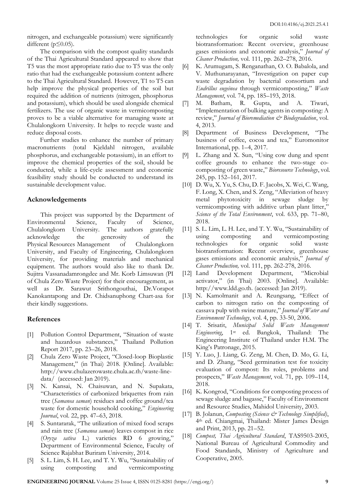nitrogen, and exchangeable potassium) were significantly different ( $p \leq 0.05$ ).

The comparison with the compost quality standards of the Thai Agricultural Standard appeared to show that T5 was the most appropriate ratio due to T5 was the only ratio that had the exchangeable potassium content adhere to the Thai Agricultural Standard. However, T1 to T5 can help improve the physical properties of the soil but required the addition of nutrients (nitrogen, phosphorus and potassium), which should be used alongside chemical fertilizers. The use of organic waste in vermicomposting proves to be a viable alternative for managing waste at Chulalongkorn University. It helps to recycle waste and reduce disposal costs.

Further studies to enhance the number of primary macronutrients (total Kjeldahl nitrogen, available phosphorus, and exchangeable potassium), in an effort to improve the chemical properties of the soil, should be conducted, while a life-cycle assessment and economic feasibility study should be conducted to understand its sustainable development value.

# **Acknowledgements**

This project was supported by the Department of Environmental Science, Faculty of Science, Chulalongkorn University. The authors gratefully acknowledge the generosity of the Physical Resources Management of Chulalongkorn University, and Faculty of Engineering, Chulalongkorn University, for providing materials and mechanical equipment. The authors would also like to thank Dr. Sujitra Vassanadamrongdee and Mr. Korb Limsuwan (PI of Chula Zero Waste Project) for their encouragement, as well as Dr. Sarawut Srithongouthai, Dr.Vorapot Kanokantapong and Dr. Chidsanuphong Chart-asa for their kindly suggestions.

# **References**

- [1] Pollution Control Department, "Situation of waste and hazardous substances," Thailand Pollution Report 2017, pp. 23–26, 2018.
- [2] Chula Zero Waste Project, "Closed-loop Bioplastic Management," (in Thai) 2018. [Online]. Available: http://www.chulazerowaste.chula.ac.th/waste-linedata/ (accessed: Jan 2019).
- [3] N. Kansai, N. Chaisuwan, and N. Supakata, "Characteristics of carbonized briquettes from rain tree (*Samanea saman*) residues and coffee ground/tea waste for domestic household cooking," *Engineering Journal*, vol. 22, pp. 47–63, 2018.
- [4] S. Suntararak, "The utilization of mixed food scraps and rain tree (*Samanea saman*) leaves compost in rice (*Oryza sativa* L.) varieties RD 6 growing," Department of Environmental Science, Faculty of Science Rajabhat Buriram University, 2014.
- [5] S. L. Lim, S. H. Lee, and T. Y. Wu, "Sustainability of using composting and vermicomposting

technologies for organic solid waste biotransformation: Recent overview, greenhouse gases emissions and economic analysis," *Journal of Cleaner Production,* vol. 111, pp. 262–278, 2016.

- [6] K. Arumugam, S. Renganathan, O. O. Babalola, and V. Muthunarayanan, "Investigation on paper cup waste degradation by bacterial consortium and *Eudrillus eugeinea* through vermicomposting," *Waste Management*, vol. 74, pp. 185–193, 2018.
- [7] M. Batham, R. Gupta, and A. Tiwari, "Implementation of bulking agents in composting: A review," *Journal of Bioremediation & Biodegradation*, vol. 4, 2013.
- [8] Department of Business Development, "The business of coffee, cocoa and tea," Euromonitor International, pp. 1–4, 2017.
- [9] L. Zhang and X. Sun, "Using cow dung and spent coffee grounds to enhance the two-stage cocomposting of green waste," *Bioresource Technology*, vol. 245, pp. 152–161, 2017.
- [10] D. Wu, X. Yu, S. Chu, D. F. Jacobs, X. Wei, C. Wang, F. Long, X. Chen, and S. Zeng, "Alleviation of heavy metal phytotoxicity in sewage sludge by vermicomposting with additive urban plant litter," *Science of the Total Environment*, vol. 633, pp. 71–80, 2018.
- [11] S. L. Lim, L. H. Lee, and T. Y. Wu, "Sustainability of using composting and vermicomposting technologies for organic solid waste biotransformation: Recent overview, greenhouse gases emissions and economic analysis," *Journal of Cleaner Production,* vol. 111, pp. 262-278, 2016.
- [12] Land Development Department, "Microbial activator," (in Thai) 2003. [Online]. Available: http://www.ldd.go.th. (accessed: Jan 2019).
- [13] N. Kamolmanit and A. Reungsang, "Effect of carbon to nitrogen ratio on the composting of cassava pulp with swine manure," *Journal of Water and Environment Technology*, vol. 4, pp. 33-50, 2006.
- [14] T. Srisatit, *Municipal Solid Waste Management Engineering*, 1st ed. Bangkok, Thailand: The Engineering Institute of Thailand under H.M. The King's Patronage, 2015.
- [15] Y. Luo, J. Liang, G. Zeng, M. Chen, D. Mo, G. Li, and D. Zhang, "Seed germination test for toxicity evaluation of compost: Its roles, problems and prospects," *Waste Management*, vol. 71, pp. 109–114, 2018.
- [16] K. Kongrod, "Conditions for composting process of sewage sludge and bagasse," Faculty of Environment and Resource Studies, Mahidol University, 2003.
- [17] B. Jolanun, *Composting (Science & Technology Simplified)*, 4th ed. Chiangmai, Thailand: Mister James Design and Print, 2013, pp. 21–52.
- [18] *Compost, Thai Agricultural Standard*, TAS9503-2005, National Bureau of Agricultural Commodity and Food Standards, Ministry of Agriculture and Cooperative, 2005.